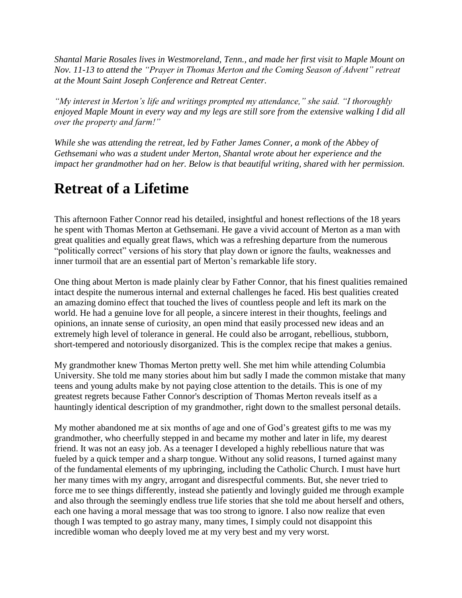*Shantal Marie Rosales lives in Westmoreland, Tenn., and made her first visit to Maple Mount on Nov. 11-13 to attend the "Prayer in Thomas Merton and the Coming Season of Advent" retreat at the Mount Saint Joseph Conference and Retreat Center.* 

*"My interest in Merton's life and writings prompted my attendance," she said. "I thoroughly enjoyed Maple Mount in every way and my legs are still sore from the extensive walking I did all over the property and farm!"* 

*While she was attending the retreat, led by Father James Conner, a monk of the Abbey of Gethsemani who was a student under Merton, Shantal wrote about her experience and the impact her grandmother had on her. Below is that beautiful writing, shared with her permission.*

## **Retreat of a Lifetime**

This afternoon Father Connor read his detailed, insightful and honest reflections of the 18 years he spent with Thomas Merton at Gethsemani. He gave a vivid account of Merton as a man with great qualities and equally great flaws, which was a refreshing departure from the numerous "politically correct" versions of his story that play down or ignore the faults, weaknesses and inner turmoil that are an essential part of Merton's remarkable life story.

One thing about Merton is made plainly clear by Father Connor, that his finest qualities remained intact despite the numerous internal and external challenges he faced. His best qualities created an amazing domino effect that touched the lives of countless people and left its mark on the world. He had a genuine love for all people, a sincere interest in their thoughts, feelings and opinions, an innate sense of curiosity, an open mind that easily processed new ideas and an extremely high level of tolerance in general. He could also be arrogant, rebellious, stubborn, short-tempered and notoriously disorganized. This is the complex recipe that makes a genius.

My grandmother knew Thomas Merton pretty well. She met him while attending Columbia University. She told me many stories about him but sadly I made the common mistake that many teens and young adults make by not paying close attention to the details. This is one of my greatest regrets because Father Connor's description of Thomas Merton reveals itself as a hauntingly identical description of my grandmother, right down to the smallest personal details.

My mother abandoned me at six months of age and one of God's greatest gifts to me was my grandmother, who cheerfully stepped in and became my mother and later in life, my dearest friend. It was not an easy job. As a teenager I developed a highly rebellious nature that was fueled by a quick temper and a sharp tongue. Without any solid reasons, I turned against many of the fundamental elements of my upbringing, including the Catholic Church. I must have hurt her many times with my angry, arrogant and disrespectful comments. But, she never tried to force me to see things differently, instead she patiently and lovingly guided me through example and also through the seemingly endless true life stories that she told me about herself and others, each one having a moral message that was too strong to ignore. I also now realize that even though I was tempted to go astray many, many times, I simply could not disappoint this incredible woman who deeply loved me at my very best and my very worst.